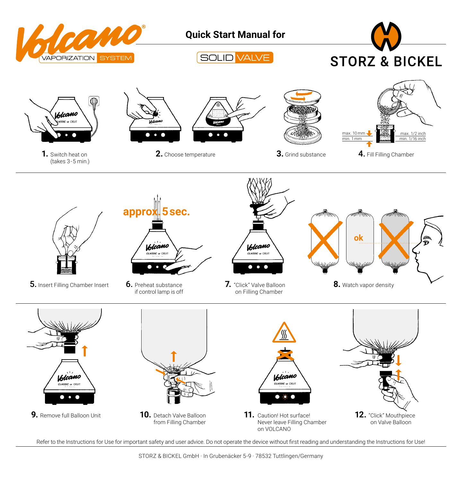

Refer to the Instructions for Use for important safety and user advice. Do not operate the device without first reading and understanding the Instructions for Use!